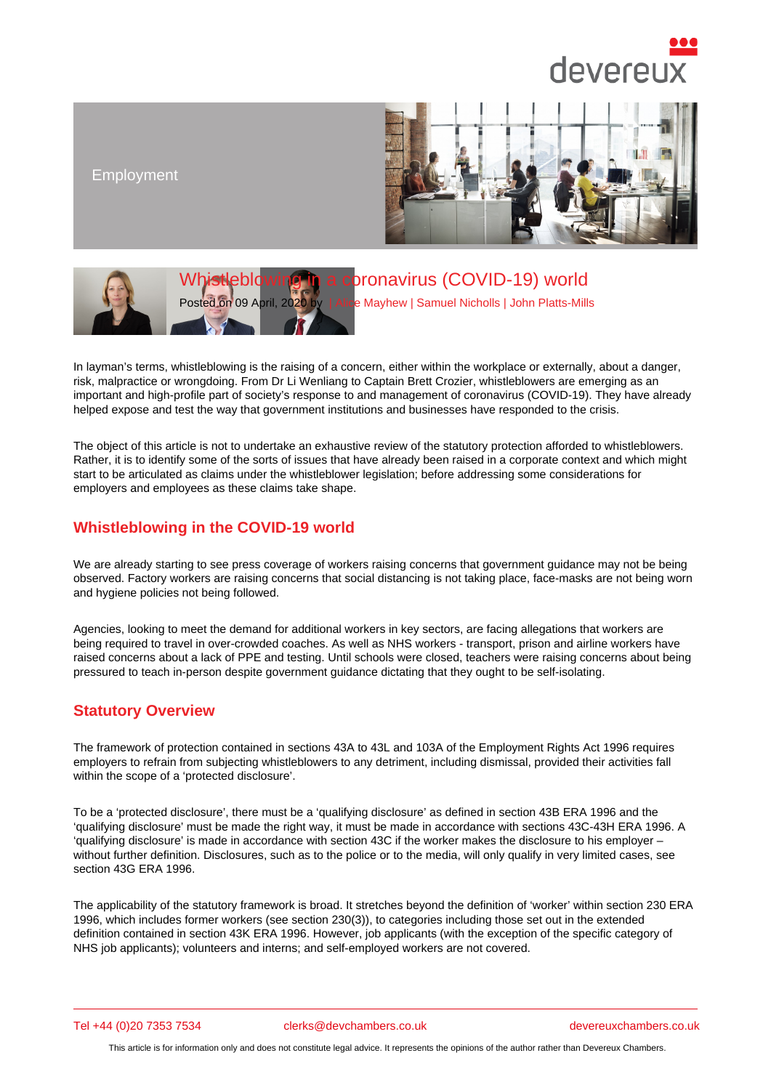Employment

# Whistleblowing in a coronavirus (COVID-19) world

Posted on 09 April, 2020 by | Alice Mayhew | Samuel Nicholls | John Platts-Mills

In layman's terms, whistleblowing is the raising of [a concern, eithe](/barristers/profile/alice-mayhew)[r within the workp](/barristers/profile/samuel-nicholls)l[ace or externally,](/barristers/profile/john-platts-mills) about a danger, risk, malpractice or wrongdoing. From Dr Li Wenliang to Captain Brett Crozier, whistleblowers are emerging as an important and high-profile part of society's response to and management of coronavirus (COVID-19). They have already helped expose and test the way that government institutions and businesses have responded to the crisis.

The object of this article is not to undertake an exhaustive review of the statutory protection afforded to whistleblowers. Rather, it is to identify some of the sorts of issues that have already been raised in a corporate context and which might start to be articulated as claims under the whistleblower legislation; before addressing some considerations for employers and employees as these claims take shape.

# Whistleblowing in the COVID-19 world

We are already starting to see press coverage of workers raising concerns that government guidance may not be being observed. Factory workers are raising concerns that social distancing is not taking place, face-masks are not being worn and hygiene policies not being followed.

Agencies, looking to meet the demand for additional workers in key sectors, are facing allegations that workers are being required to travel in over-crowded coaches. As well as NHS workers - transport, prison and airline workers have raised concerns about a lack of PPE and testing. Until schools were closed, teachers were raising concerns about being pressured to teach in-person despite government guidance dictating that they ought to be self-isolating.

### Statutory Overview

The framework of protection contained in sections 43A to 43L and 103A of the Employment Rights Act 1996 requires employers to refrain from subjecting whistleblowers to any detriment, including dismissal, provided their activities fall within the scope of a 'protected disclosure'.

To be a 'protected disclosure', there must be a 'qualifying disclosure' as defined in section 43B ERA 1996 and the 'qualifying disclosure' must be made the right way, it must be made in accordance with sections 43C-43H ERA 1996. A 'qualifying disclosure' is made in accordance with section 43C if the worker makes the disclosure to his employer – without further definition. Disclosures, such as to the police or to the media, will only qualify in very limited cases, see section 43G ERA 1996.

The applicability of the statutory framework is broad. It stretches beyond the definition of 'worker' within section 230 ERA 1996, which includes former workers (see section 230(3)), to categories including those set out in the extended definition contained in section 43K ERA 1996. However, job applicants (with the exception of the specific category of NHS job applicants); volunteers and interns; and self-employed workers are not covered.

Tel +44 (0)20 7353 7534 clerks@devchambers.co.uk devereuxchambers.co.uk

This article is for information only and does not constitute legal advice. It represents the opinions of the author rather than Devereux Chambers.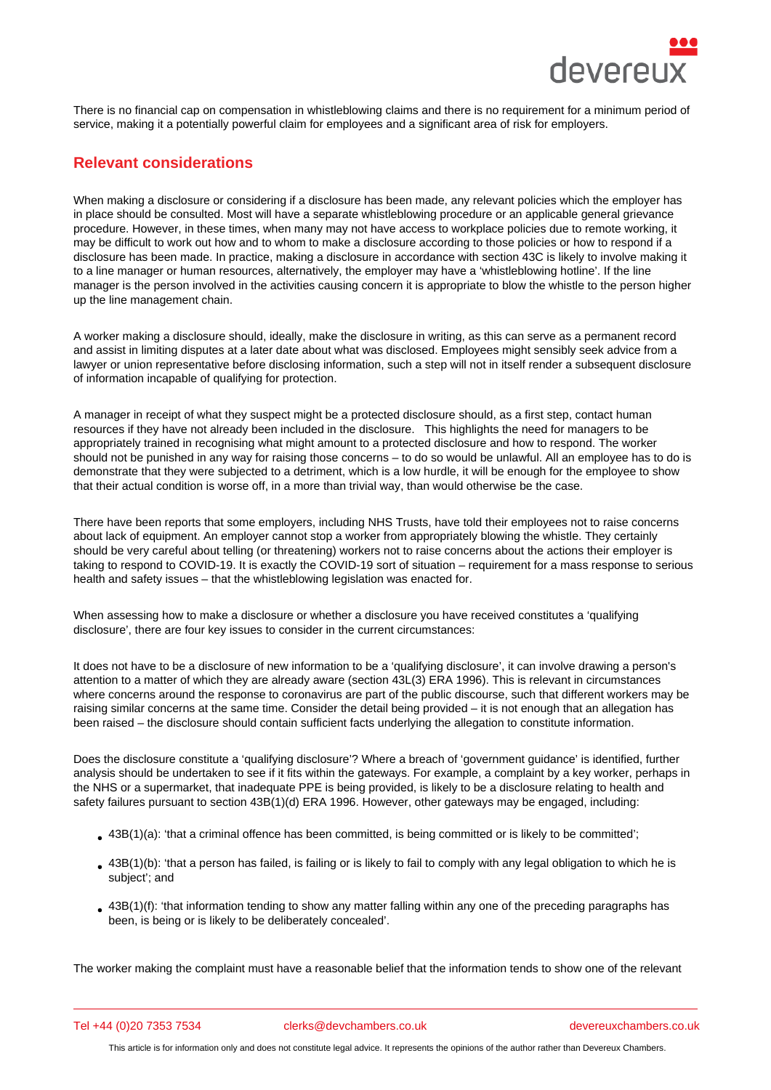There is no financial cap on compensation in whistleblowing claims and there is no requirement for a minimum period of service, making it a potentially powerful claim for employees and a significant area of risk for employers.

# Relevant considerations

When making a disclosure or considering if a disclosure has been made, any relevant policies which the employer has in place should be consulted. Most will have a separate whistleblowing procedure or an applicable general grievance procedure. However, in these times, when many may not have access to workplace policies due to remote working, it may be difficult to work out how and to whom to make a disclosure according to those policies or how to respond if a disclosure has been made. In practice, making a disclosure in accordance with section 43C is likely to involve making it to a line manager or human resources, alternatively, the employer may have a 'whistleblowing hotline'. If the line manager is the person involved in the activities causing concern it is appropriate to blow the whistle to the person higher up the line management chain.

A worker making a disclosure should, ideally, make the disclosure in writing, as this can serve as a permanent record and assist in limiting disputes at a later date about what was disclosed. Employees might sensibly seek advice from a lawyer or union representative before disclosing information, such a step will not in itself render a subsequent disclosure of information incapable of qualifying for protection.

A manager in receipt of what they suspect might be a protected disclosure should, as a first step, contact human resources if they have not already been included in the disclosure. This highlights the need for managers to be appropriately trained in recognising what might amount to a protected disclosure and how to respond. The worker should not be punished in any way for raising those concerns – to do so would be unlawful. All an employee has to do is demonstrate that they were subjected to a detriment, which is a low hurdle, it will be enough for the employee to show that their actual condition is worse off, in a more than trivial way, than would otherwise be the case.

There have been reports that some employers, including NHS Trusts, have told their employees not to raise concerns about lack of equipment. An employer cannot stop a worker from appropriately blowing the whistle. They certainly should be very careful about telling (or threatening) workers not to raise concerns about the actions their employer is taking to respond to COVID-19. It is exactly the COVID-19 sort of situation – requirement for a mass response to serious health and safety issues – that the whistleblowing legislation was enacted for.

When assessing how to make a disclosure or whether a disclosure you have received constitutes a 'qualifying disclosure', there are four key issues to consider in the current circumstances:

It does not have to be a disclosure of new information to be a 'qualifying disclosure', it can involve drawing a person's attention to a matter of which they are already aware (section 43L(3) ERA 1996). This is relevant in circumstances where concerns around the response to coronavirus are part of the public discourse, such that different workers may be raising similar concerns at the same time. Consider the detail being provided – it is not enough that an allegation has been raised – the disclosure should contain sufficient facts underlying the allegation to constitute information.

Does the disclosure constitute a 'qualifying disclosure'? Where a breach of 'government guidance' is identified, further analysis should be undertaken to see if it fits within the gateways. For example, a complaint by a key worker, perhaps in the NHS or a supermarket, that inadequate PPE is being provided, is likely to be a disclosure relating to health and safety failures pursuant to section 43B(1)(d) ERA 1996. However, other gateways may be engaged, including:

- $\bullet$  43B(1)(a): 'that a criminal offence has been committed, is being committed or is likely to be committed';
- $\bullet$  43B(1)(b): 'that a person has failed, is failing or is likely to fail to comply with any legal obligation to which he is subject'; and
- $\bullet$  43B(1)(f): 'that information tending to show any matter falling within any one of the preceding paragraphs has been, is being or is likely to be deliberately concealed'.

The worker making the complaint must have a reasonable belief that the information tends to show one of the relevant

Tel +44 (0)20 7353 7534 clerks@devchambers.co.uk devereuxchambers.co.uk

This article is for information only and does not constitute legal advice. It represents the opinions of the author rather than Devereux Chambers.